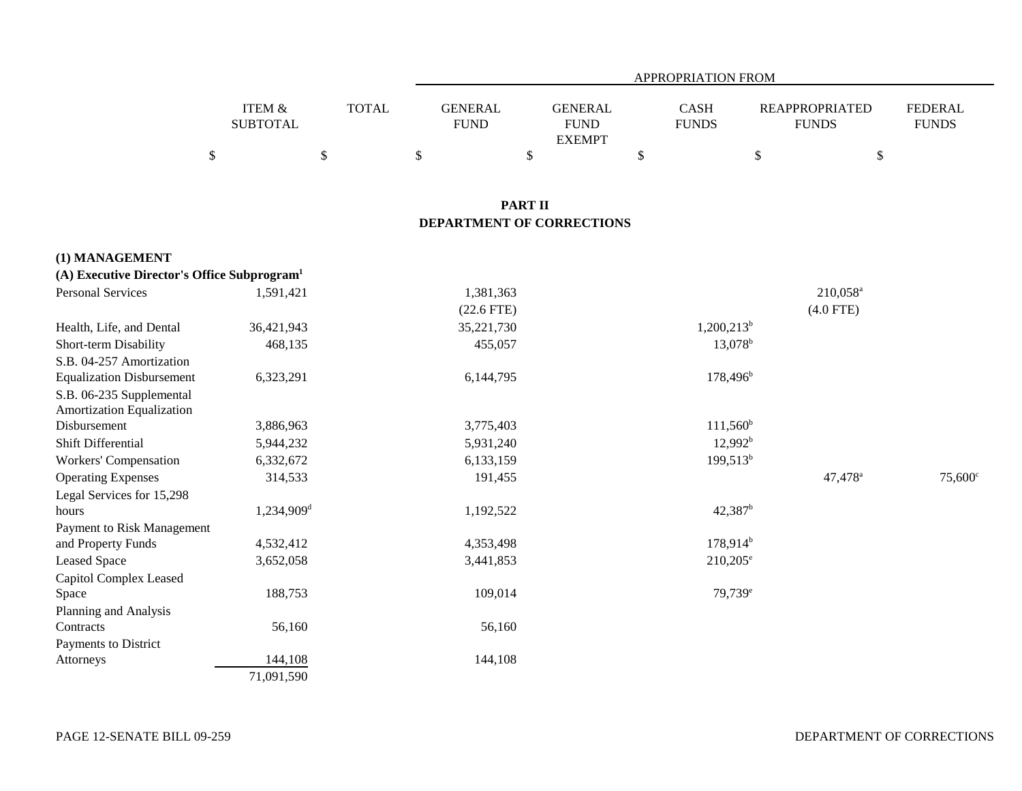|                                                         |                                      |              | APPROPRIATION FROM            |                                                |                      |                           |                                       |                                |  |  |
|---------------------------------------------------------|--------------------------------------|--------------|-------------------------------|------------------------------------------------|----------------------|---------------------------|---------------------------------------|--------------------------------|--|--|
|                                                         | <b>ITEM &amp;</b><br><b>SUBTOTAL</b> | <b>TOTAL</b> | <b>GENERAL</b><br><b>FUND</b> | <b>GENERAL</b><br><b>FUND</b><br><b>EXEMPT</b> | CASH<br><b>FUNDS</b> |                           | <b>REAPPROPRIATED</b><br><b>FUNDS</b> | <b>FEDERAL</b><br><b>FUNDS</b> |  |  |
|                                                         | \$                                   | \$           | $\$$                          | \$                                             | \$                   | $\boldsymbol{\mathsf{S}}$ | \$                                    |                                |  |  |
|                                                         |                                      |              |                               | <b>PART II</b>                                 |                      |                           |                                       |                                |  |  |
|                                                         |                                      |              |                               | DEPARTMENT OF CORRECTIONS                      |                      |                           |                                       |                                |  |  |
| (1) MANAGEMENT                                          |                                      |              |                               |                                                |                      |                           |                                       |                                |  |  |
| (A) Executive Director's Office Subprogram <sup>1</sup> |                                      |              |                               |                                                |                      |                           |                                       |                                |  |  |
| <b>Personal Services</b>                                | 1,591,421                            |              | 1,381,363                     |                                                |                      |                           | $210,058$ <sup>a</sup>                |                                |  |  |
|                                                         |                                      |              | $(22.6$ FTE)                  |                                                |                      |                           | $(4.0$ FTE)                           |                                |  |  |
| Health, Life, and Dental                                | 36,421,943                           |              | 35,221,730                    |                                                |                      | $1,200,213^b$             |                                       |                                |  |  |
| Short-term Disability                                   | 468,135                              |              | 455,057                       |                                                |                      | $13,078$ <sup>b</sup>     |                                       |                                |  |  |
| S.B. 04-257 Amortization                                |                                      |              |                               |                                                |                      |                           |                                       |                                |  |  |
| <b>Equalization Disbursement</b>                        | 6,323,291                            |              | 6,144,795                     |                                                |                      | $178,496^b$               |                                       |                                |  |  |
| S.B. 06-235 Supplemental                                |                                      |              |                               |                                                |                      |                           |                                       |                                |  |  |
| Amortization Equalization                               |                                      |              |                               |                                                |                      |                           |                                       |                                |  |  |
| Disbursement                                            | 3,886,963                            |              | 3,775,403                     |                                                |                      | $111,560^b$               |                                       |                                |  |  |
| Shift Differential                                      | 5,944,232                            |              | 5,931,240                     |                                                |                      | $12,992^b$                |                                       |                                |  |  |
| Workers' Compensation                                   | 6,332,672                            |              | 6,133,159                     |                                                |                      | $199,513^b$               |                                       |                                |  |  |
| <b>Operating Expenses</b>                               | 314,533                              |              | 191,455                       |                                                |                      |                           | 47,478 <sup>a</sup>                   | $75,600^{\circ}$               |  |  |
| Legal Services for 15,298                               |                                      |              |                               |                                                |                      |                           |                                       |                                |  |  |
| hours                                                   | 1,234,909 <sup>d</sup>               |              | 1,192,522                     |                                                |                      | 42,387 <sup>b</sup>       |                                       |                                |  |  |
| Payment to Risk Management                              |                                      |              |                               |                                                |                      |                           |                                       |                                |  |  |
| and Property Funds                                      | 4,532,412                            |              | 4,353,498                     |                                                |                      | $178,914^b$               |                                       |                                |  |  |
| <b>Leased Space</b>                                     | 3,652,058                            |              | 3,441,853                     |                                                |                      | $210,205^{\circ}$         |                                       |                                |  |  |
| Capitol Complex Leased                                  |                                      |              |                               |                                                |                      |                           |                                       |                                |  |  |
| Space                                                   | 188,753                              |              | 109,014                       |                                                |                      | 79,739 <sup>e</sup>       |                                       |                                |  |  |
| Planning and Analysis                                   |                                      |              |                               |                                                |                      |                           |                                       |                                |  |  |
| Contracts                                               | 56,160                               |              | 56,160                        |                                                |                      |                           |                                       |                                |  |  |
| Payments to District<br>Attorneys                       | 144,108                              |              | 144,108                       |                                                |                      |                           |                                       |                                |  |  |
|                                                         | 71,091,590                           |              |                               |                                                |                      |                           |                                       |                                |  |  |
|                                                         |                                      |              |                               |                                                |                      |                           |                                       |                                |  |  |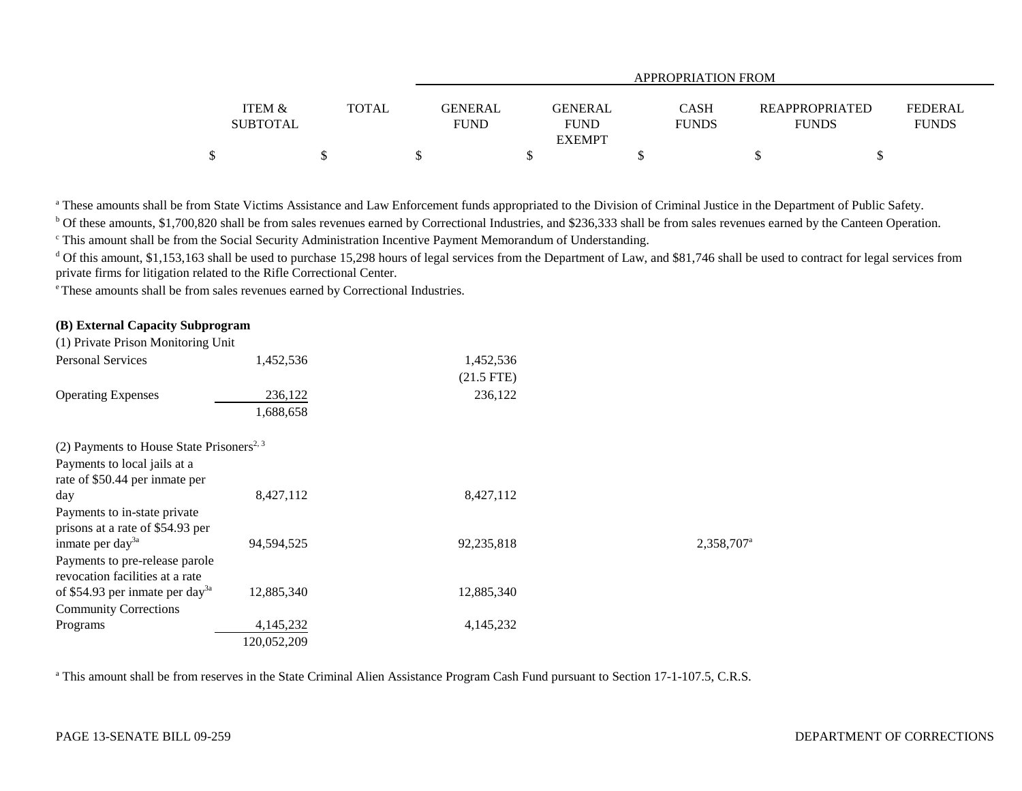|                                      |       |                               | APPROPRIATION FROM                             |                             |                                       |                                |  |  |  |  |
|--------------------------------------|-------|-------------------------------|------------------------------------------------|-----------------------------|---------------------------------------|--------------------------------|--|--|--|--|
| <b>ITEM &amp;</b><br><b>SUBTOTAL</b> | TOTAL | <b>GENERAL</b><br><b>FUND</b> | <b>GENERAL</b><br><b>FUND</b><br><b>EXEMPT</b> | <b>CASH</b><br><b>FUNDS</b> | <b>REAPPROPRIATED</b><br><b>FUNDS</b> | <b>FEDERAL</b><br><b>FUNDS</b> |  |  |  |  |
|                                      |       |                               |                                                |                             |                                       |                                |  |  |  |  |

<sup>a</sup> These amounts shall be from State Victims Assistance and Law Enforcement funds appropriated to the Division of Criminal Justice in the Department of Public Safety.

b Of these amounts, \$1,700,820 shall be from sales revenues earned by Correctional Industries, and \$236,333 shall be from sales revenues earned by the Canteen Operation.

c This amount shall be from the Social Security Administration Incentive Payment Memorandum of Understanding.

<sup>d</sup> Of this amount, \$1,153,163 shall be used to purchase 15,298 hours of legal services from the Department of Law, and \$81,746 shall be used to contract for legal services from private firms for litigation related to the Rifle Correctional Center.

e These amounts shall be from sales revenues earned by Correctional Industries.

## **(B) External Capacity Subprogram**

| (1) Private Prison Monitoring Unit                    |             |              |                        |
|-------------------------------------------------------|-------------|--------------|------------------------|
| <b>Personal Services</b>                              | 1,452,536   | 1,452,536    |                        |
|                                                       |             | $(21.5$ FTE) |                        |
| <b>Operating Expenses</b>                             | 236,122     | 236,122      |                        |
|                                                       | 1,688,658   |              |                        |
| (2) Payments to House State Prisoners <sup>2, 3</sup> |             |              |                        |
| Payments to local jails at a                          |             |              |                        |
| rate of \$50.44 per inmate per                        |             |              |                        |
| day                                                   | 8,427,112   | 8,427,112    |                        |
| Payments to in-state private                          |             |              |                        |
| prisons at a rate of \$54.93 per                      |             |              |                        |
| inmate per day <sup>3a</sup>                          | 94,594,525  | 92,235,818   | 2,358,707 <sup>a</sup> |
| Payments to pre-release parole                        |             |              |                        |
| revocation facilities at a rate                       |             |              |                        |
| of \$54.93 per inmate per day <sup>3a</sup>           | 12,885,340  | 12,885,340   |                        |
| <b>Community Corrections</b>                          |             |              |                        |
| Programs                                              | 4,145,232   | 4,145,232    |                        |
|                                                       | 120,052,209 |              |                        |

<sup>a</sup> This amount shall be from reserves in the State Criminal Alien Assistance Program Cash Fund pursuant to Section 17-1-107.5, C.R.S.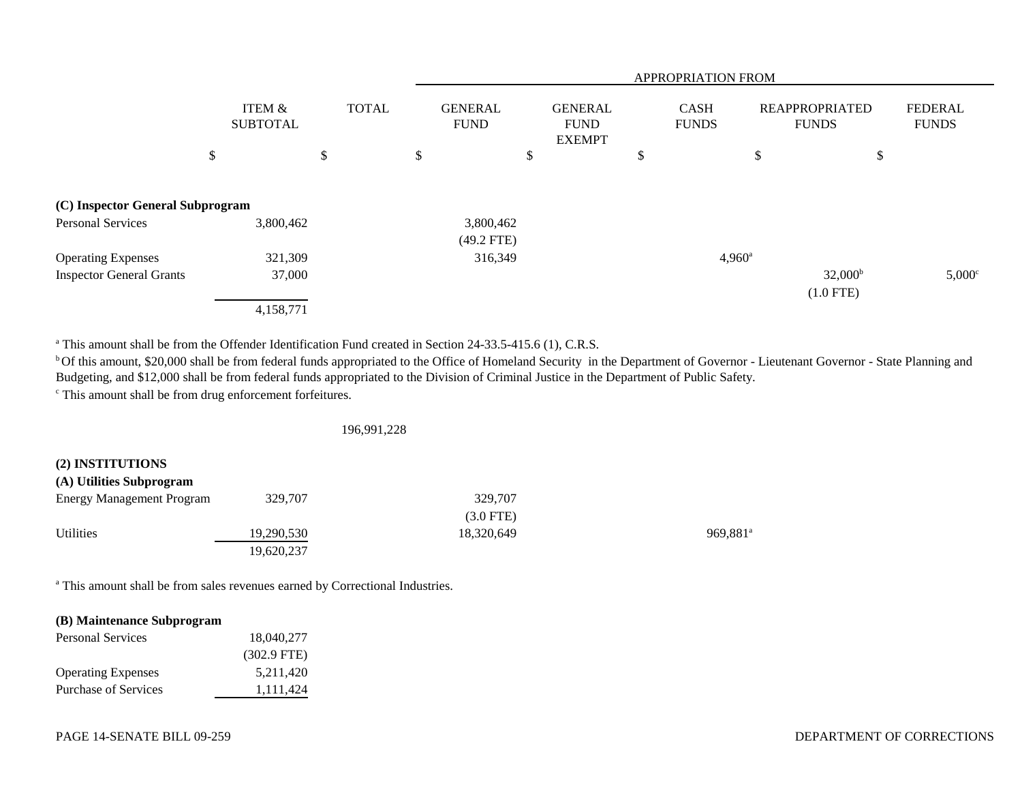|                                  |                           |              |                               |                                                | APPROPRIATION FROM          |                                       |                                |
|----------------------------------|---------------------------|--------------|-------------------------------|------------------------------------------------|-----------------------------|---------------------------------------|--------------------------------|
|                                  | ITEM &<br><b>SUBTOTAL</b> | <b>TOTAL</b> | <b>GENERAL</b><br><b>FUND</b> | <b>GENERAL</b><br><b>FUND</b><br><b>EXEMPT</b> | <b>CASH</b><br><b>FUNDS</b> | <b>REAPPROPRIATED</b><br><b>FUNDS</b> | <b>FEDERAL</b><br><b>FUNDS</b> |
|                                  | \$                        | \$           | \$                            | \$                                             | D                           | \$<br>\$                              |                                |
| (C) Inspector General Subprogram |                           |              |                               |                                                |                             |                                       |                                |
| <b>Personal Services</b>         | 3,800,462                 |              | 3,800,462<br>$(49.2$ FTE)     |                                                |                             |                                       |                                |
| <b>Operating Expenses</b>        | 321,309                   |              | 316,349                       |                                                |                             | $4,960^{\circ}$                       |                                |
| <b>Inspector General Grants</b>  | 37,000                    |              |                               |                                                |                             | $32,000^{\rm b}$<br>$(1.0$ FTE)       | $5,000^{\circ}$                |
|                                  | 4,158,771                 |              |                               |                                                |                             |                                       |                                |

<sup>a</sup> This amount shall be from the Offender Identification Fund created in Section 24-33.5-415.6 (1), C.R.S.

<sup>b</sup>Of this amount, \$20,000 shall be from federal funds appropriated to the Office of Homeland Security in the Department of Governor - Lieutenant Governor - State Planning and Budgeting, and \$12,000 shall be from federal funds appropriated to the Division of Criminal Justice in the Department of Public Safety.

c This amount shall be from drug enforcement forfeitures.

196,991,228

| (2) INSTITUTIONS          |            |             |                      |
|---------------------------|------------|-------------|----------------------|
| (A) Utilities Subprogram  |            |             |                      |
| Energy Management Program | 329,707    | 329,707     |                      |
|                           |            | $(3.0$ FTE) |                      |
| Utilities                 | 19,290,530 | 18,320,649  | 969.881 <sup>a</sup> |
|                           | 19,620,237 |             |                      |

a This amount shall be from sales revenues earned by Correctional Industries.

# **(B) Maintenance Subprogram**

| Personal Services         | 18.040.277    |  |
|---------------------------|---------------|--|
|                           | $(302.9$ FTE) |  |
| <b>Operating Expenses</b> | 5,211,420     |  |
| Purchase of Services      | 1,111,424     |  |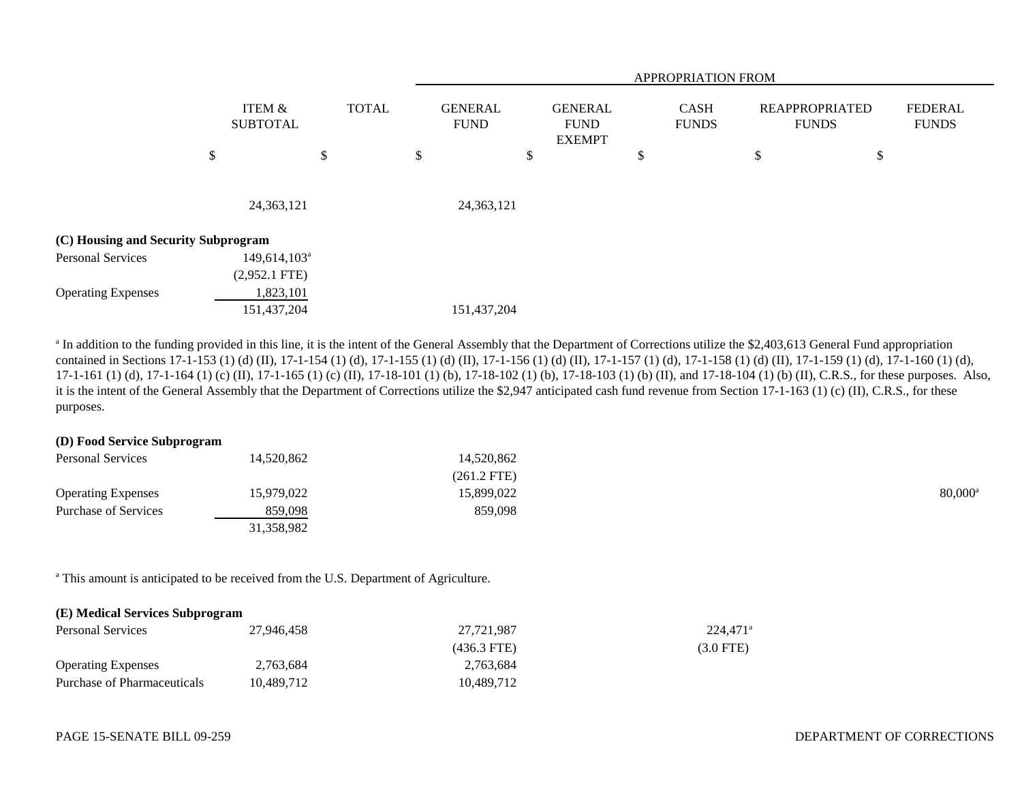|                                     |                                    |              | APPROPRIATION FROM |                               |    |                                                |    |                             |                                       |    |                                |
|-------------------------------------|------------------------------------|--------------|--------------------|-------------------------------|----|------------------------------------------------|----|-----------------------------|---------------------------------------|----|--------------------------------|
|                                     | ITEM &<br><b>SUBTOTAL</b>          | <b>TOTAL</b> |                    | <b>GENERAL</b><br><b>FUND</b> |    | <b>GENERAL</b><br><b>FUND</b><br><b>EXEMPT</b> |    | <b>CASH</b><br><b>FUNDS</b> | <b>REAPPROPRIATED</b><br><b>FUNDS</b> |    | <b>FEDERAL</b><br><b>FUNDS</b> |
|                                     | \$                                 | \$           | \$                 |                               | \$ |                                                | \$ |                             | \$                                    | \$ |                                |
|                                     | 24,363,121                         |              |                    | 24,363,121                    |    |                                                |    |                             |                                       |    |                                |
| (C) Housing and Security Subprogram |                                    |              |                    |                               |    |                                                |    |                             |                                       |    |                                |
| <b>Personal Services</b>            | $149,614,103^a$<br>$(2,952.1$ FTE) |              |                    |                               |    |                                                |    |                             |                                       |    |                                |
| <b>Operating Expenses</b>           | 1,823,101<br>151,437,204           |              |                    | 151,437,204                   |    |                                                |    |                             |                                       |    |                                |

<sup>a</sup> In addition to the funding provided in this line, it is the intent of the General Assembly that the Department of Corrections utilize the \$2,403,613 General Fund appropriation contained in Sections 17-1-153 (1) (d) (II), 17-1-154 (1) (d), 17-1-155 (1) (d) (II), 17-1-156 (1) (d) (II), 17-1-157 (1) (d), 17-1-158 (1) (d) (II), 17-1-159 (1) (d), 17-1-160 (1) (d), 17-1-161 (1) (d), 17-1-164 (1) (c) (II), 17-1-165 (1) (c) (II), 17-18-101 (1) (b), 17-18-102 (1) (b), 17-18-103 (1) (b) (II), and 17-18-104 (1) (b) (II), C.R.S., for these purposes. Also, it is the intent of the General Assembly that the Department of Corrections utilize the \$2,947 anticipated cash fund revenue from Section 17-1-163 (1) (c) (II), C.R.S., for these purposes.

## **(D) Food Service Subprogram**

| <b>Personal Services</b>  | 14,520,862 | 14,520,862  |                  |
|---------------------------|------------|-------------|------------------|
|                           |            | (261.2 FTE) |                  |
| <b>Operating Expenses</b> | 15,979,022 | 15,899,022  | $80,000^{\circ}$ |
| Purchase of Services      | 859,098    | 859,098     |                  |
|                           | 31,358,982 |             |                  |

<sup>a</sup> This amount is anticipated to be received from the U.S. Department of Agriculture.

| (E) Medical Services Subprogram |            |               |                      |  |  |  |  |  |
|---------------------------------|------------|---------------|----------------------|--|--|--|--|--|
| <b>Personal Services</b>        | 27,946,458 | 27.721.987    | 224.471 <sup>a</sup> |  |  |  |  |  |
|                                 |            | $(436.3$ FTE) | (3.0 FTE)            |  |  |  |  |  |
| <b>Operating Expenses</b>       | 2,763,684  | 2,763,684     |                      |  |  |  |  |  |
| Purchase of Pharmaceuticals     | 10.489.712 | 10.489.712    |                      |  |  |  |  |  |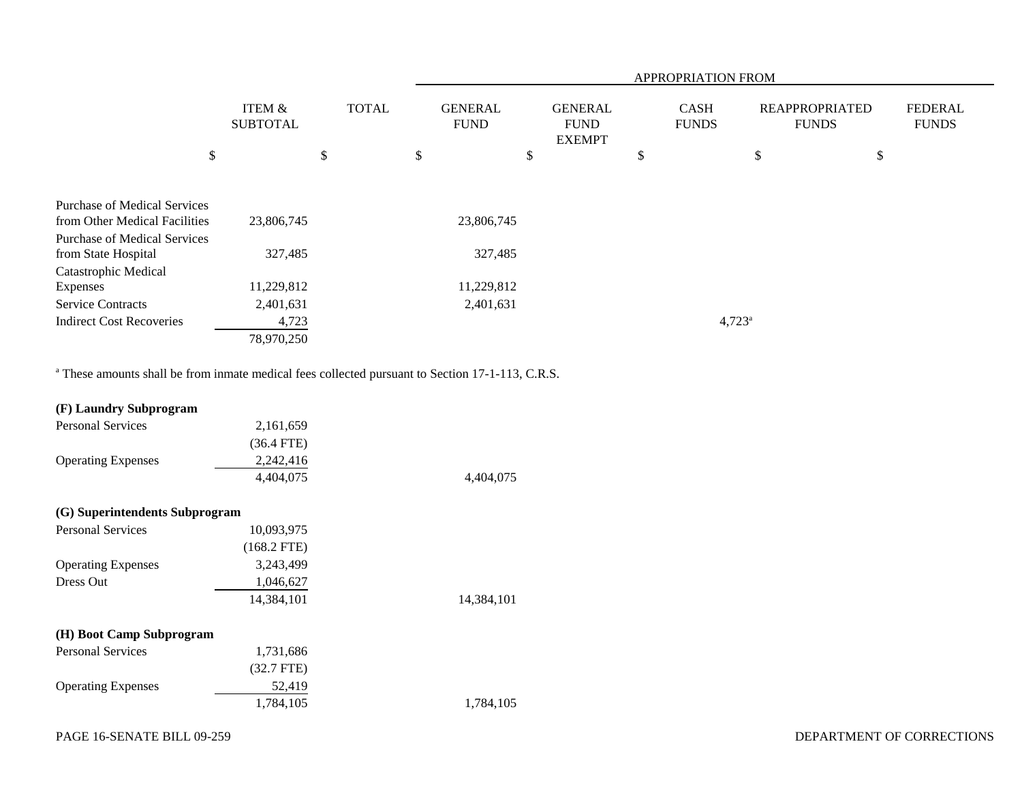|                                     |                           |              | APPROPRIATION FROM |                               |    |                                                |    |                             |                                       |                                |
|-------------------------------------|---------------------------|--------------|--------------------|-------------------------------|----|------------------------------------------------|----|-----------------------------|---------------------------------------|--------------------------------|
|                                     | ITEM &<br><b>SUBTOTAL</b> | <b>TOTAL</b> |                    | <b>GENERAL</b><br><b>FUND</b> |    | <b>GENERAL</b><br><b>FUND</b><br><b>EXEMPT</b> |    | <b>CASH</b><br><b>FUNDS</b> | <b>REAPPROPRIATED</b><br><b>FUNDS</b> | <b>FEDERAL</b><br><b>FUNDS</b> |
| \$                                  |                           | \$           | \$                 |                               | \$ |                                                | \$ |                             | \$<br>$\frac{1}{2}$                   |                                |
|                                     |                           |              |                    |                               |    |                                                |    |                             |                                       |                                |
| <b>Purchase of Medical Services</b> |                           |              |                    |                               |    |                                                |    |                             |                                       |                                |
| from Other Medical Facilities       | 23,806,745                |              |                    | 23,806,745                    |    |                                                |    |                             |                                       |                                |
| <b>Purchase of Medical Services</b> |                           |              |                    |                               |    |                                                |    |                             |                                       |                                |
| from State Hospital                 | 327,485                   |              |                    | 327,485                       |    |                                                |    |                             |                                       |                                |
| Catastrophic Medical                |                           |              |                    |                               |    |                                                |    |                             |                                       |                                |
| Expenses                            | 11,229,812                |              |                    | 11,229,812                    |    |                                                |    |                             |                                       |                                |
| <b>Service Contracts</b>            | 2,401,631                 |              |                    | 2,401,631                     |    |                                                |    |                             |                                       |                                |
| <b>Indirect Cost Recoveries</b>     | 4,723                     |              |                    |                               |    |                                                |    | $4,723^{\circ}$             |                                       |                                |
|                                     | 78,970,250                |              |                    |                               |    |                                                |    |                             |                                       |                                |

<sup>a</sup> These amounts shall be from inmate medical fees collected pursuant to Section 17-1-113, C.R.S.

| (F) Laundry Subprogram         |               |            |
|--------------------------------|---------------|------------|
| <b>Personal Services</b>       | 2,161,659     |            |
|                                | $(36.4$ FTE)  |            |
| <b>Operating Expenses</b>      | 2,242,416     |            |
|                                | 4,404,075     | 4,404,075  |
| (G) Superintendents Subprogram |               |            |
| <b>Personal Services</b>       | 10,093,975    |            |
|                                | $(168.2$ FTE) |            |
| <b>Operating Expenses</b>      | 3,243,499     |            |
| Dress Out                      | 1,046,627     |            |
|                                | 14,384,101    | 14,384,101 |
| (H) Boot Camp Subprogram       |               |            |
| <b>Personal Services</b>       | 1,731,686     |            |
|                                | $(32.7$ FTE)  |            |
| <b>Operating Expenses</b>      | 52,419        |            |
|                                | 1,784,105     | 1,784,105  |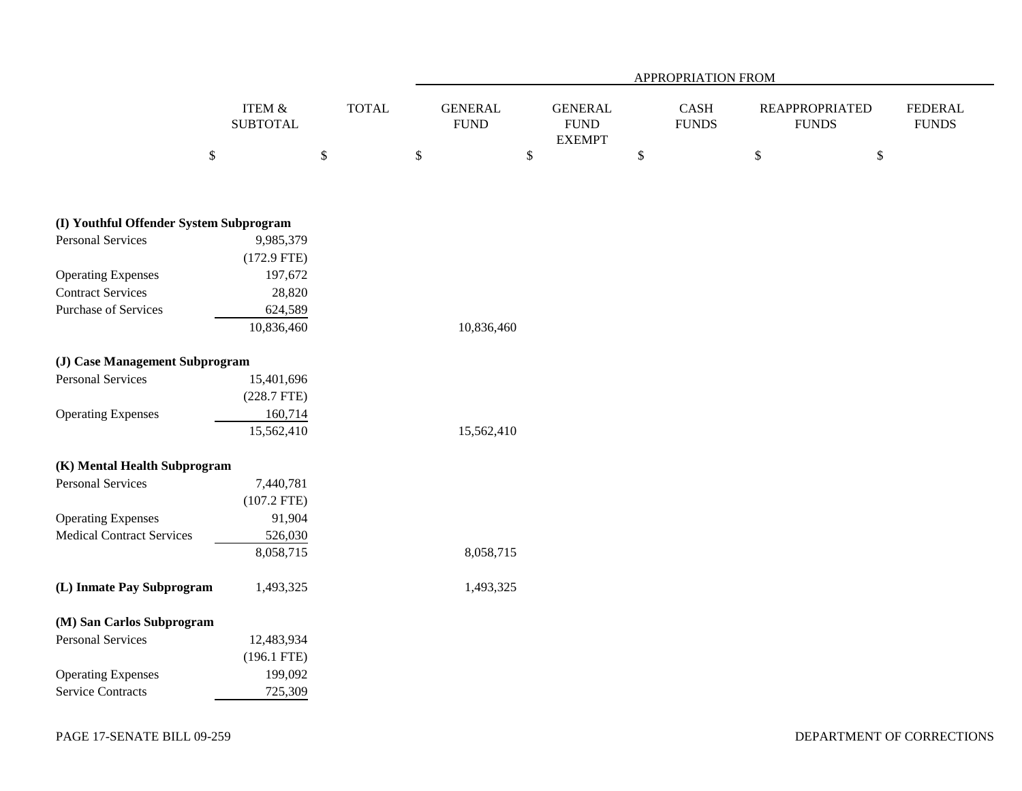|                                         |                              |              |                               |                                                | APPROPRIATION FROM                    |                                       |                                |
|-----------------------------------------|------------------------------|--------------|-------------------------------|------------------------------------------------|---------------------------------------|---------------------------------------|--------------------------------|
|                                         | ITEM $\&$<br><b>SUBTOTAL</b> | <b>TOTAL</b> | <b>GENERAL</b><br><b>FUND</b> | <b>GENERAL</b><br><b>FUND</b><br><b>EXEMPT</b> | $\operatorname{CASH}$<br><b>FUNDS</b> | <b>REAPPROPRIATED</b><br><b>FUNDS</b> | <b>FEDERAL</b><br><b>FUNDS</b> |
|                                         | $\mathbb{S}$                 | $\$$         | \$<br>$\mathbb{S}$            |                                                | $\boldsymbol{\$}$                     | $\$$<br>$\boldsymbol{\mathsf{S}}$     |                                |
| (I) Youthful Offender System Subprogram |                              |              |                               |                                                |                                       |                                       |                                |
| <b>Personal Services</b>                | 9,985,379                    |              |                               |                                                |                                       |                                       |                                |
|                                         | $(172.9$ FTE)                |              |                               |                                                |                                       |                                       |                                |
| <b>Operating Expenses</b>               | 197,672                      |              |                               |                                                |                                       |                                       |                                |
| <b>Contract Services</b>                | 28,820                       |              |                               |                                                |                                       |                                       |                                |
| <b>Purchase of Services</b>             | 624,589                      |              |                               |                                                |                                       |                                       |                                |
|                                         | 10,836,460                   |              | 10,836,460                    |                                                |                                       |                                       |                                |
| (J) Case Management Subprogram          |                              |              |                               |                                                |                                       |                                       |                                |
| <b>Personal Services</b>                | 15,401,696                   |              |                               |                                                |                                       |                                       |                                |
|                                         | $(228.7$ FTE)                |              |                               |                                                |                                       |                                       |                                |
| <b>Operating Expenses</b>               | 160,714                      |              |                               |                                                |                                       |                                       |                                |
|                                         | 15,562,410                   |              | 15,562,410                    |                                                |                                       |                                       |                                |
| (K) Mental Health Subprogram            |                              |              |                               |                                                |                                       |                                       |                                |
| <b>Personal Services</b>                | 7,440,781                    |              |                               |                                                |                                       |                                       |                                |
|                                         | $(107.2$ FTE)                |              |                               |                                                |                                       |                                       |                                |
| <b>Operating Expenses</b>               | 91,904                       |              |                               |                                                |                                       |                                       |                                |
| <b>Medical Contract Services</b>        | 526,030                      |              |                               |                                                |                                       |                                       |                                |
|                                         | 8,058,715                    |              | 8,058,715                     |                                                |                                       |                                       |                                |
| (L) Inmate Pay Subprogram               | 1,493,325                    |              | 1,493,325                     |                                                |                                       |                                       |                                |
| (M) San Carlos Subprogram               |                              |              |                               |                                                |                                       |                                       |                                |
| <b>Personal Services</b>                | 12,483,934                   |              |                               |                                                |                                       |                                       |                                |
|                                         | $(196.1$ FTE)                |              |                               |                                                |                                       |                                       |                                |
| <b>Operating Expenses</b>               | 199,092                      |              |                               |                                                |                                       |                                       |                                |
| <b>Service Contracts</b>                | 725,309                      |              |                               |                                                |                                       |                                       |                                |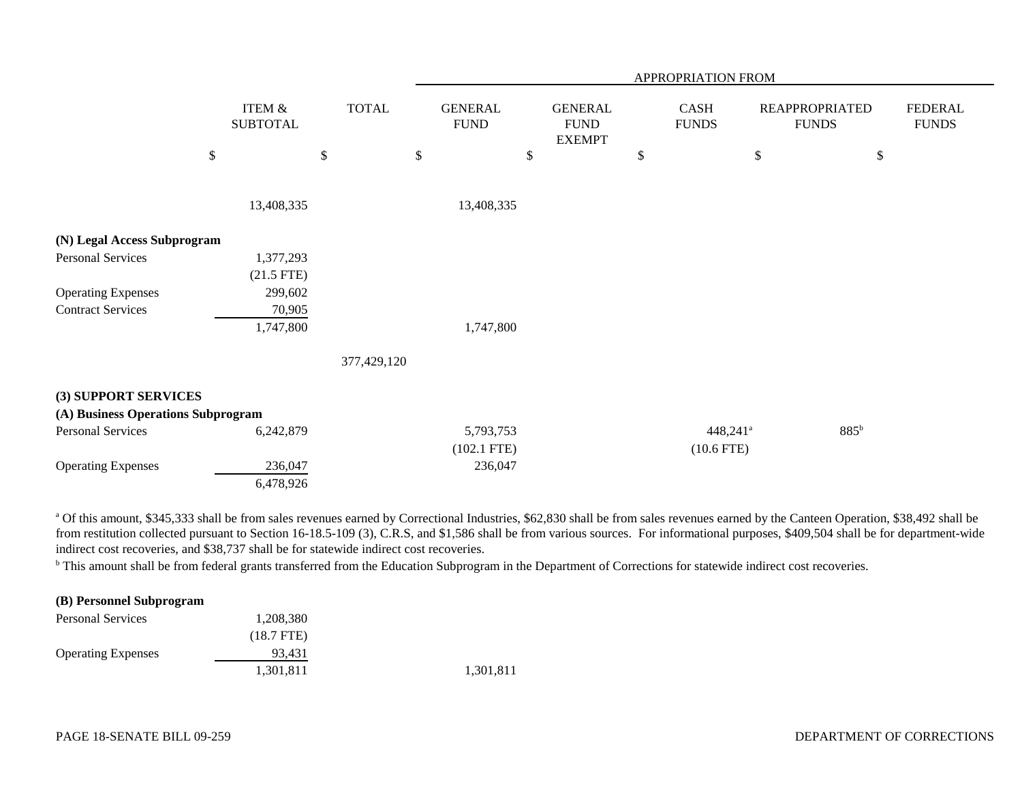|                                    |                           |              |                                |                                                | APPROPRIATION FROM   |                                       |                                |
|------------------------------------|---------------------------|--------------|--------------------------------|------------------------------------------------|----------------------|---------------------------------------|--------------------------------|
|                                    | ITEM &<br><b>SUBTOTAL</b> | <b>TOTAL</b> | <b>GENERAL</b><br>${\rm FUND}$ | <b>GENERAL</b><br><b>FUND</b><br><b>EXEMPT</b> | CASH<br><b>FUNDS</b> | <b>REAPPROPRIATED</b><br><b>FUNDS</b> | <b>FEDERAL</b><br><b>FUNDS</b> |
|                                    | $\mathbb{S}$              | \$           | \$                             | \$                                             | \$                   | \$<br>\$                              |                                |
|                                    | 13,408,335                |              | 13,408,335                     |                                                |                      |                                       |                                |
| (N) Legal Access Subprogram        |                           |              |                                |                                                |                      |                                       |                                |
| <b>Personal Services</b>           | 1,377,293                 |              |                                |                                                |                      |                                       |                                |
|                                    | $(21.5$ FTE)              |              |                                |                                                |                      |                                       |                                |
| <b>Operating Expenses</b>          | 299,602                   |              |                                |                                                |                      |                                       |                                |
| <b>Contract Services</b>           | 70,905                    |              |                                |                                                |                      |                                       |                                |
|                                    | 1,747,800                 |              | 1,747,800                      |                                                |                      |                                       |                                |
|                                    |                           | 377,429,120  |                                |                                                |                      |                                       |                                |
| (3) SUPPORT SERVICES               |                           |              |                                |                                                |                      |                                       |                                |
| (A) Business Operations Subprogram |                           |              |                                |                                                |                      |                                       |                                |
| <b>Personal Services</b>           | 6,242,879                 |              | 5,793,753                      |                                                | 448,241 <sup>a</sup> | 885 <sup>b</sup>                      |                                |
|                                    |                           |              | $(102.1$ FTE)                  |                                                | $(10.6$ FTE)         |                                       |                                |
| <b>Operating Expenses</b>          | 236,047                   |              | 236,047                        |                                                |                      |                                       |                                |
|                                    | 6,478,926                 |              |                                |                                                |                      |                                       |                                |

<sup>a</sup> Of this amount, \$345,333 shall be from sales revenues earned by Correctional Industries, \$62,830 shall be from sales revenues earned by the Canteen Operation, \$38,492 shall be from restitution collected pursuant to Section 16-18.5-109 (3), C.R.S, and \$1,586 shall be from various sources. For informational purposes, \$409,504 shall be for department-wide indirect cost recoveries, and \$38,737 shall be for statewide indirect cost recoveries.

<sup>b</sup> This amount shall be from federal grants transferred from the Education Subprogram in the Department of Corrections for statewide indirect cost recoveries.

#### **(B) Personnel Subprogram**

| <b>Personal Services</b>  | 1,208,380    |           |
|---------------------------|--------------|-----------|
|                           | $(18.7$ FTE) |           |
| <b>Operating Expenses</b> | 93.431       |           |
|                           | 1,301,811    | 1,301,811 |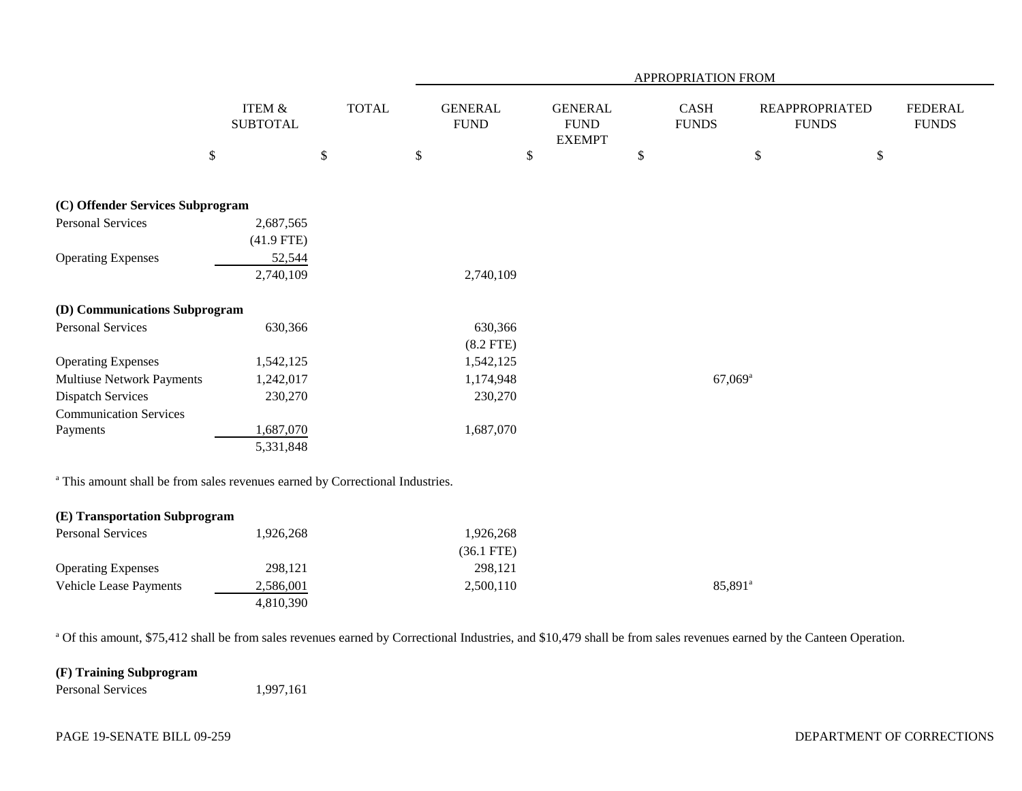|                                                                                          |                           |              | APPROPRIATION FROM            |                                                |      |                       |                                       |                                |  |  |
|------------------------------------------------------------------------------------------|---------------------------|--------------|-------------------------------|------------------------------------------------|------|-----------------------|---------------------------------------|--------------------------------|--|--|
|                                                                                          | ITEM &<br><b>SUBTOTAL</b> | <b>TOTAL</b> | <b>GENERAL</b><br><b>FUND</b> | <b>GENERAL</b><br><b>FUND</b><br><b>EXEMPT</b> |      | CASH<br><b>FUNDS</b>  | <b>REAPPROPRIATED</b><br><b>FUNDS</b> | <b>FEDERAL</b><br><b>FUNDS</b> |  |  |
|                                                                                          | $\$$                      | $\$$         | $\$$                          | \$                                             | $\$$ |                       | $\$$                                  | $\$$                           |  |  |
| (C) Offender Services Subprogram                                                         |                           |              |                               |                                                |      |                       |                                       |                                |  |  |
| <b>Personal Services</b>                                                                 | 2,687,565                 |              |                               |                                                |      |                       |                                       |                                |  |  |
|                                                                                          | $(41.9$ FTE)              |              |                               |                                                |      |                       |                                       |                                |  |  |
| <b>Operating Expenses</b>                                                                | 52,544                    |              |                               |                                                |      |                       |                                       |                                |  |  |
|                                                                                          | 2,740,109                 |              | 2,740,109                     |                                                |      |                       |                                       |                                |  |  |
| (D) Communications Subprogram                                                            |                           |              |                               |                                                |      |                       |                                       |                                |  |  |
| <b>Personal Services</b>                                                                 | 630,366                   |              | 630,366                       |                                                |      |                       |                                       |                                |  |  |
|                                                                                          |                           |              | $(8.2$ FTE)                   |                                                |      |                       |                                       |                                |  |  |
| <b>Operating Expenses</b>                                                                | 1,542,125                 |              | 1,542,125                     |                                                |      |                       |                                       |                                |  |  |
| <b>Multiuse Network Payments</b>                                                         | 1,242,017                 |              | 1,174,948                     |                                                |      | $67,069$ <sup>a</sup> |                                       |                                |  |  |
| <b>Dispatch Services</b>                                                                 | 230,270                   |              | 230,270                       |                                                |      |                       |                                       |                                |  |  |
| <b>Communication Services</b>                                                            |                           |              |                               |                                                |      |                       |                                       |                                |  |  |
| Payments                                                                                 | 1,687,070                 |              | 1,687,070                     |                                                |      |                       |                                       |                                |  |  |
|                                                                                          | 5,331,848                 |              |                               |                                                |      |                       |                                       |                                |  |  |
| <sup>a</sup> This amount shall be from sales revenues earned by Correctional Industries. |                           |              |                               |                                                |      |                       |                                       |                                |  |  |
| (E) Transportation Subprogram                                                            |                           |              |                               |                                                |      |                       |                                       |                                |  |  |
| <b>Personal Services</b>                                                                 | 1,926,268                 |              | 1,926,268                     |                                                |      |                       |                                       |                                |  |  |
|                                                                                          |                           |              | $(36.1$ FTE)                  |                                                |      |                       |                                       |                                |  |  |
| <b>Operating Expenses</b>                                                                | 298,121                   |              | 298,121                       |                                                |      |                       |                                       |                                |  |  |
| <b>Vehicle Lease Payments</b>                                                            | 2,586,001                 |              | 2,500,110                     |                                                |      | 85,891 <sup>a</sup>   |                                       |                                |  |  |
|                                                                                          | 4,810,390                 |              |                               |                                                |      |                       |                                       |                                |  |  |

<sup>a</sup> Of this amount, \$75,412 shall be from sales revenues earned by Correctional Industries, and \$10,479 shall be from sales revenues earned by the Canteen Operation.

# **(F) Training Subprogram**

Personal Services 1,997,161

### PAGE 19-SENATE BILL 09-259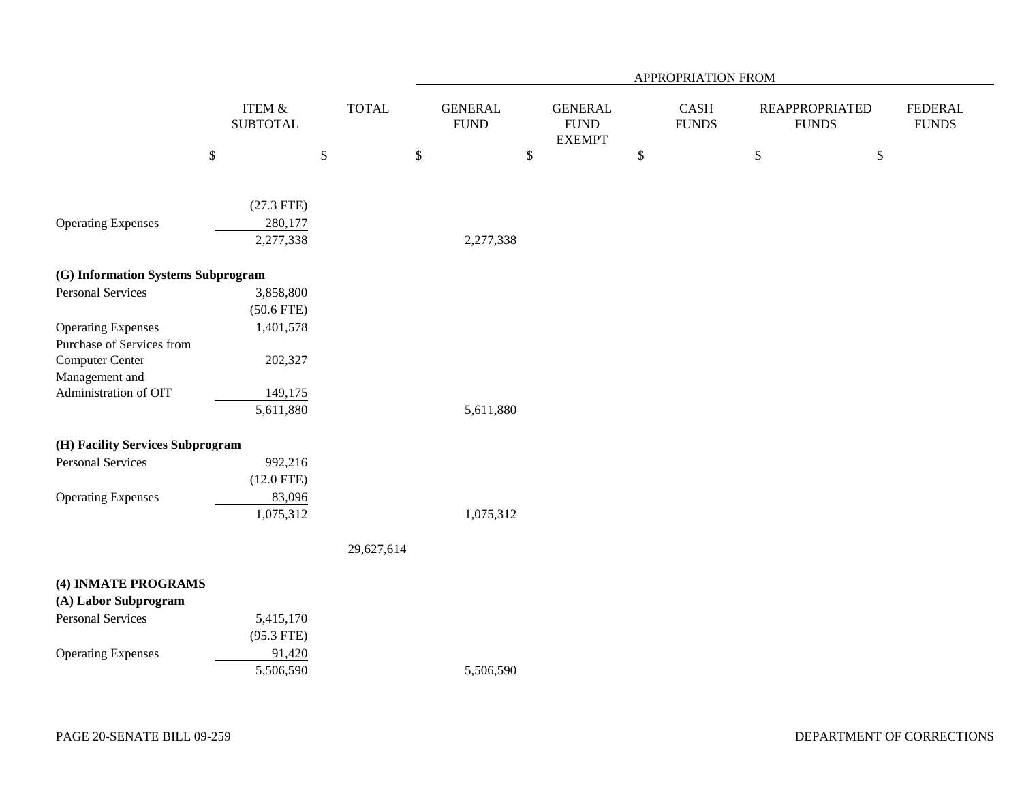|                                    |                           |              |                               |                                                 | APPROPRIATION FROM   |                                       |                                |
|------------------------------------|---------------------------|--------------|-------------------------------|-------------------------------------------------|----------------------|---------------------------------------|--------------------------------|
|                                    | ITEM &<br><b>SUBTOTAL</b> | <b>TOTAL</b> | <b>GENERAL</b><br><b>FUND</b> | <b>GENERAL</b><br>${\rm FUND}$<br><b>EXEMPT</b> | CASH<br><b>FUNDS</b> | <b>REAPPROPRIATED</b><br><b>FUNDS</b> | <b>FEDERAL</b><br><b>FUNDS</b> |
|                                    | \$                        | $\mathbb{S}$ | $\mathbb{S}$                  | $\$$                                            | $\mathbb{S}$         | $\mathbb{S}$<br>$\$\,$                |                                |
|                                    |                           |              |                               |                                                 |                      |                                       |                                |
|                                    | $(27.3$ FTE)              |              |                               |                                                 |                      |                                       |                                |
| <b>Operating Expenses</b>          | 280,177                   |              |                               |                                                 |                      |                                       |                                |
|                                    | 2,277,338                 |              | 2,277,338                     |                                                 |                      |                                       |                                |
| (G) Information Systems Subprogram |                           |              |                               |                                                 |                      |                                       |                                |
| <b>Personal Services</b>           | 3,858,800                 |              |                               |                                                 |                      |                                       |                                |
|                                    | $(50.6$ FTE)              |              |                               |                                                 |                      |                                       |                                |
| <b>Operating Expenses</b>          | 1,401,578                 |              |                               |                                                 |                      |                                       |                                |
| Purchase of Services from          |                           |              |                               |                                                 |                      |                                       |                                |
| Computer Center                    | 202,327                   |              |                               |                                                 |                      |                                       |                                |
| Management and                     |                           |              |                               |                                                 |                      |                                       |                                |
| Administration of OIT              | 149,175                   |              |                               |                                                 |                      |                                       |                                |
|                                    | 5,611,880                 |              | 5,611,880                     |                                                 |                      |                                       |                                |
| (H) Facility Services Subprogram   |                           |              |                               |                                                 |                      |                                       |                                |
| Personal Services                  | 992,216                   |              |                               |                                                 |                      |                                       |                                |
|                                    | $(12.0$ FTE)              |              |                               |                                                 |                      |                                       |                                |
| <b>Operating Expenses</b>          | 83,096                    |              |                               |                                                 |                      |                                       |                                |
|                                    | 1,075,312                 |              | 1,075,312                     |                                                 |                      |                                       |                                |
|                                    |                           | 29,627,614   |                               |                                                 |                      |                                       |                                |
| (4) INMATE PROGRAMS                |                           |              |                               |                                                 |                      |                                       |                                |
| (A) Labor Subprogram               |                           |              |                               |                                                 |                      |                                       |                                |
| <b>Personal Services</b>           | 5,415,170                 |              |                               |                                                 |                      |                                       |                                |
|                                    | $(95.3$ FTE)              |              |                               |                                                 |                      |                                       |                                |
| <b>Operating Expenses</b>          | 91,420                    |              |                               |                                                 |                      |                                       |                                |
|                                    | 5,506,590                 |              | 5,506,590                     |                                                 |                      |                                       |                                |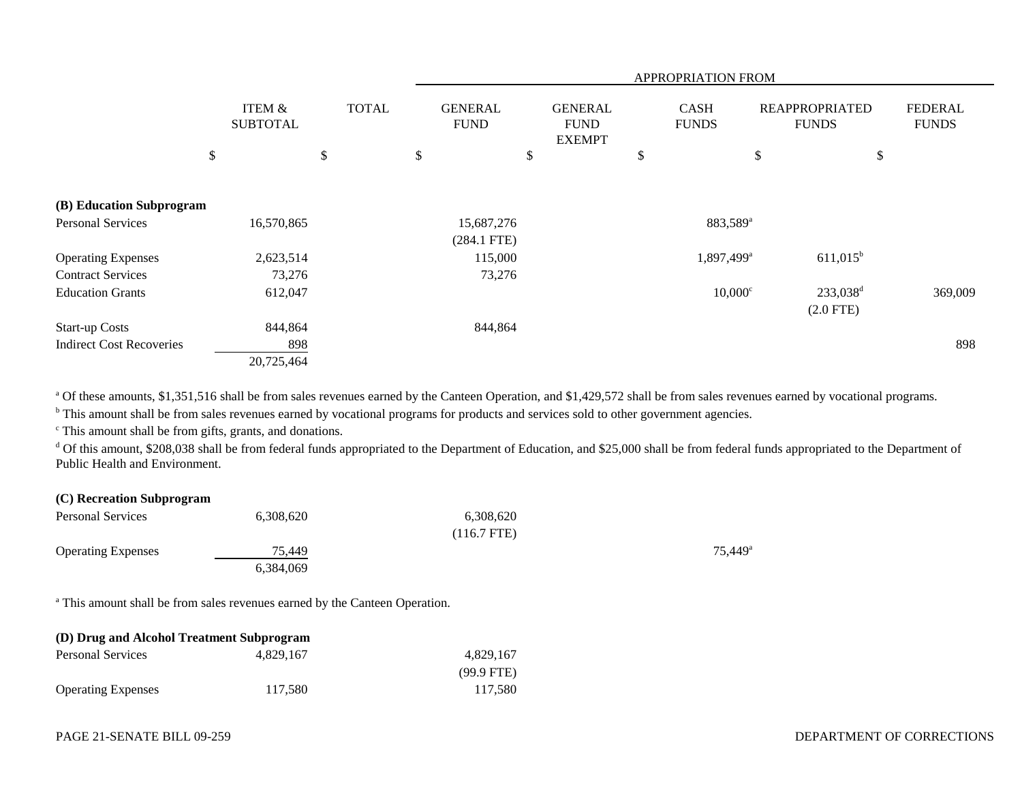|                                 |                                      |                           | <b>APPROPRIATION FROM</b>     |                                                |                             |                                       |                                |  |  |  |
|---------------------------------|--------------------------------------|---------------------------|-------------------------------|------------------------------------------------|-----------------------------|---------------------------------------|--------------------------------|--|--|--|
|                                 | <b>ITEM &amp;</b><br><b>SUBTOTAL</b> | <b>TOTAL</b>              | <b>GENERAL</b><br><b>FUND</b> | <b>GENERAL</b><br><b>FUND</b><br><b>EXEMPT</b> | <b>CASH</b><br><b>FUNDS</b> | <b>REAPPROPRIATED</b><br><b>FUNDS</b> | <b>FEDERAL</b><br><b>FUNDS</b> |  |  |  |
|                                 | \$                                   | $\boldsymbol{\mathsf{S}}$ | \$                            | \$                                             | \$                          | \$                                    | \$                             |  |  |  |
|                                 |                                      |                           |                               |                                                |                             |                                       |                                |  |  |  |
| (B) Education Subprogram        |                                      |                           |                               |                                                |                             |                                       |                                |  |  |  |
| <b>Personal Services</b>        | 16,570,865                           |                           | 15,687,276                    |                                                | 883,589 <sup>a</sup>        |                                       |                                |  |  |  |
|                                 |                                      |                           | $(284.1$ FTE)                 |                                                |                             |                                       |                                |  |  |  |
| <b>Operating Expenses</b>       | 2,623,514                            |                           | 115,000                       |                                                | 1,897,499 <sup>a</sup>      | $611,015^b$                           |                                |  |  |  |
| <b>Contract Services</b>        | 73,276                               |                           | 73,276                        |                                                |                             |                                       |                                |  |  |  |
| <b>Education Grants</b>         | 612,047                              |                           |                               |                                                | $10,000^{\circ}$            | 233,038 <sup>d</sup>                  | 369,009                        |  |  |  |
|                                 |                                      |                           |                               |                                                |                             | $(2.0$ FTE)                           |                                |  |  |  |
| <b>Start-up Costs</b>           | 844,864                              |                           | 844,864                       |                                                |                             |                                       |                                |  |  |  |
| <b>Indirect Cost Recoveries</b> | 898                                  |                           |                               |                                                |                             |                                       | 898                            |  |  |  |
|                                 | 20,725,464                           |                           |                               |                                                |                             |                                       |                                |  |  |  |

<sup>a</sup> Of these amounts, \$1,351,516 shall be from sales revenues earned by the Canteen Operation, and \$1,429,572 shall be from sales revenues earned by vocational programs.

<sup>b</sup> This amount shall be from sales revenues earned by vocational programs for products and services sold to other government agencies.

c This amount shall be from gifts, grants, and donations.

<sup>d</sup> Of this amount, \$208,038 shall be from federal funds appropriated to the Department of Education, and \$25,000 shall be from federal funds appropriated to the Department of Public Health and Environment.

| (C) Recreation Subprogram |           |               |                     |
|---------------------------|-----------|---------------|---------------------|
| <b>Personal Services</b>  | 6,308,620 | 6,308,620     |                     |
|                           |           | $(116.7$ FTE) |                     |
| <b>Operating Expenses</b> | 75.449    |               | 75.449 <sup>a</sup> |
|                           | 6,384,069 |               |                     |

<sup>a</sup> This amount shall be from sales revenues earned by the Canteen Operation.

| (D) Drug and Alcohol Treatment Subprogram |           |              |  |  |  |  |  |  |
|-------------------------------------------|-----------|--------------|--|--|--|--|--|--|
| <b>Personal Services</b>                  | 4.829.167 | 4.829.167    |  |  |  |  |  |  |
|                                           |           | $(99.9$ FTE) |  |  |  |  |  |  |
| <b>Operating Expenses</b>                 | 117.580   | 117.580      |  |  |  |  |  |  |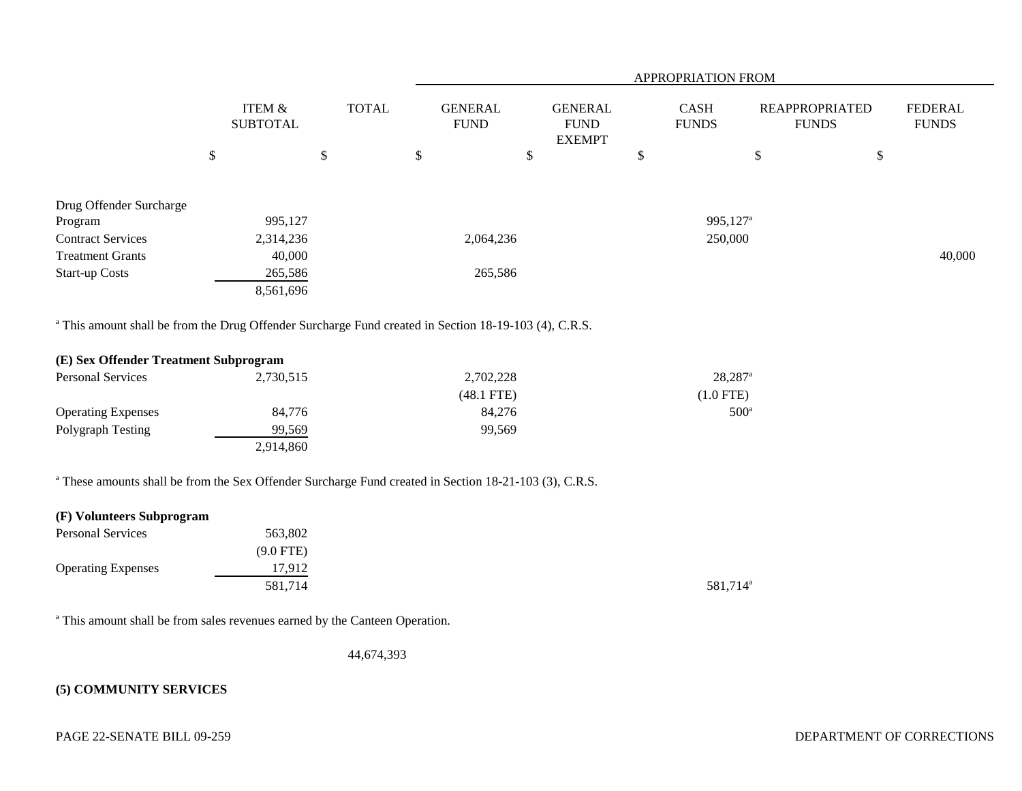|                                                                                                                   |                                      |              |                               |                                                | <b>APPROPRIATION FROM</b>   |                       |                                       |                                |
|-------------------------------------------------------------------------------------------------------------------|--------------------------------------|--------------|-------------------------------|------------------------------------------------|-----------------------------|-----------------------|---------------------------------------|--------------------------------|
|                                                                                                                   | <b>ITEM &amp;</b><br><b>SUBTOTAL</b> | <b>TOTAL</b> | <b>GENERAL</b><br><b>FUND</b> | <b>GENERAL</b><br><b>FUND</b><br><b>EXEMPT</b> | <b>CASH</b><br><b>FUNDS</b> |                       | <b>REAPPROPRIATED</b><br><b>FUNDS</b> | <b>FEDERAL</b><br><b>FUNDS</b> |
|                                                                                                                   | \$                                   | \$           | \$                            | \$                                             | \$                          | \$                    | $\$$                                  |                                |
|                                                                                                                   |                                      |              |                               |                                                |                             |                       |                                       |                                |
| Drug Offender Surcharge<br>Program                                                                                | 995,127                              |              |                               |                                                |                             | 995,127 <sup>a</sup>  |                                       |                                |
| <b>Contract Services</b>                                                                                          | 2,314,236                            |              | 2,064,236                     |                                                |                             | 250,000               |                                       |                                |
| <b>Treatment Grants</b>                                                                                           | 40,000                               |              |                               |                                                |                             |                       |                                       | 40,000                         |
| <b>Start-up Costs</b>                                                                                             | 265,586                              |              | 265,586                       |                                                |                             |                       |                                       |                                |
|                                                                                                                   | 8,561,696                            |              |                               |                                                |                             |                       |                                       |                                |
| <sup>a</sup> This amount shall be from the Drug Offender Surcharge Fund created in Section 18-19-103 (4), C.R.S.  |                                      |              |                               |                                                |                             |                       |                                       |                                |
| (E) Sex Offender Treatment Subprogram                                                                             |                                      |              |                               |                                                |                             |                       |                                       |                                |
| <b>Personal Services</b>                                                                                          | 2,730,515                            |              | 2,702,228                     |                                                |                             | $28,287$ <sup>a</sup> |                                       |                                |
|                                                                                                                   |                                      |              | $(48.1$ FTE)                  |                                                |                             | $(1.0$ FTE)           |                                       |                                |
| <b>Operating Expenses</b>                                                                                         | 84,776                               |              | 84,276                        |                                                |                             | $500^{\circ}$         |                                       |                                |
| Polygraph Testing                                                                                                 | 99,569                               |              | 99,569                        |                                                |                             |                       |                                       |                                |
|                                                                                                                   | 2,914,860                            |              |                               |                                                |                             |                       |                                       |                                |
| <sup>a</sup> These amounts shall be from the Sex Offender Surcharge Fund created in Section 18-21-103 (3), C.R.S. |                                      |              |                               |                                                |                             |                       |                                       |                                |
| (F) Volunteers Subprogram                                                                                         |                                      |              |                               |                                                |                             |                       |                                       |                                |
| $D_{\text{source}} = 10 \text{ cm}$                                                                               | 5000                                 |              |                               |                                                |                             |                       |                                       |                                |

| <b>Personal Services</b>  | 563,802     |                      |
|---------------------------|-------------|----------------------|
|                           | $(9.0$ FTE) |                      |
| <b>Operating Expenses</b> | 17.912      |                      |
|                           | 581,714     | 581,714 <sup>a</sup> |

<sup>a</sup> This amount shall be from sales revenues earned by the Canteen Operation.

44,674,393

# **(5) COMMUNITY SERVICES**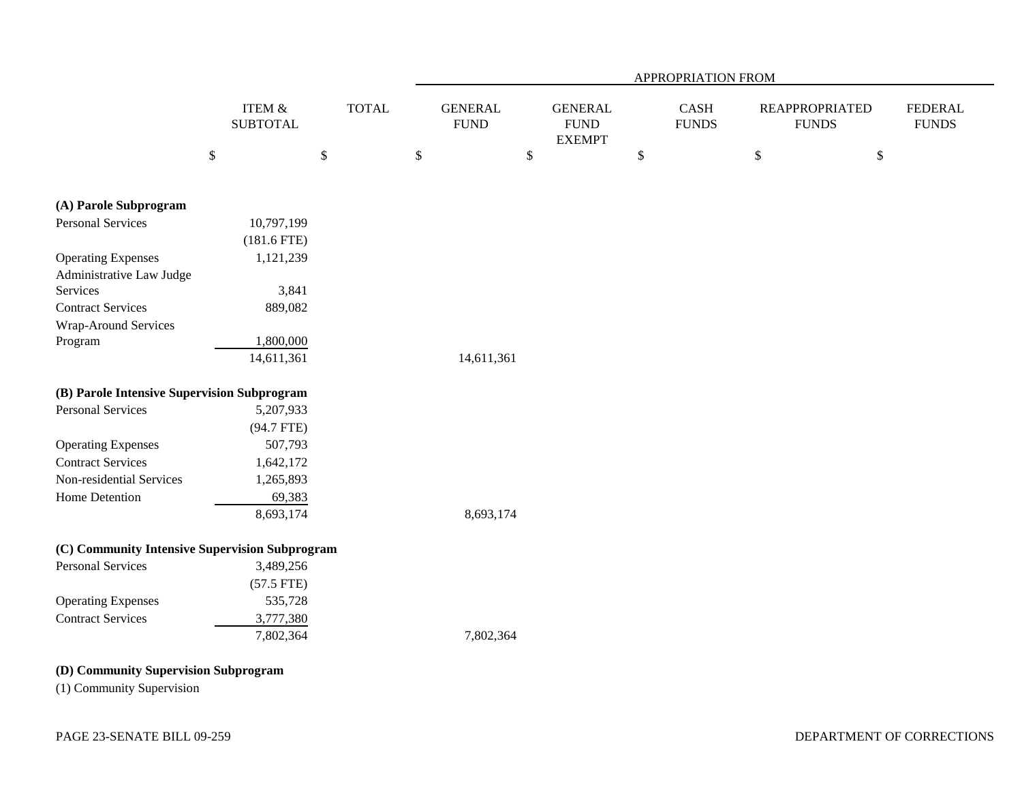|                                                |                           |              | APPROPRIATION FROM |                               |        |                                                 |        |                      |              |                                       |                                |
|------------------------------------------------|---------------------------|--------------|--------------------|-------------------------------|--------|-------------------------------------------------|--------|----------------------|--------------|---------------------------------------|--------------------------------|
|                                                | ITEM &<br><b>SUBTOTAL</b> | <b>TOTAL</b> |                    | <b>GENERAL</b><br><b>FUND</b> |        | <b>GENERAL</b><br>${\rm FUND}$<br><b>EXEMPT</b> |        | CASH<br><b>FUNDS</b> |              | <b>REAPPROPRIATED</b><br><b>FUNDS</b> | <b>FEDERAL</b><br><b>FUNDS</b> |
|                                                | \$                        | $\$$         | $\mathbb{S}$       |                               | $\$\,$ |                                                 | $\$\,$ |                      | $\mathbb{S}$ | $\mathbb{S}$                          |                                |
| (A) Parole Subprogram                          |                           |              |                    |                               |        |                                                 |        |                      |              |                                       |                                |
| <b>Personal Services</b>                       | 10,797,199                |              |                    |                               |        |                                                 |        |                      |              |                                       |                                |
|                                                | $(181.6$ FTE)             |              |                    |                               |        |                                                 |        |                      |              |                                       |                                |
| <b>Operating Expenses</b>                      | 1,121,239                 |              |                    |                               |        |                                                 |        |                      |              |                                       |                                |
| Administrative Law Judge                       |                           |              |                    |                               |        |                                                 |        |                      |              |                                       |                                |
| Services                                       | 3,841                     |              |                    |                               |        |                                                 |        |                      |              |                                       |                                |
| <b>Contract Services</b>                       | 889,082                   |              |                    |                               |        |                                                 |        |                      |              |                                       |                                |
| Wrap-Around Services                           |                           |              |                    |                               |        |                                                 |        |                      |              |                                       |                                |
| Program                                        | 1,800,000                 |              |                    |                               |        |                                                 |        |                      |              |                                       |                                |
|                                                | 14,611,361                |              |                    | 14,611,361                    |        |                                                 |        |                      |              |                                       |                                |
| (B) Parole Intensive Supervision Subprogram    |                           |              |                    |                               |        |                                                 |        |                      |              |                                       |                                |
| <b>Personal Services</b>                       | 5,207,933                 |              |                    |                               |        |                                                 |        |                      |              |                                       |                                |
|                                                | $(94.7$ FTE)              |              |                    |                               |        |                                                 |        |                      |              |                                       |                                |
| <b>Operating Expenses</b>                      | 507,793                   |              |                    |                               |        |                                                 |        |                      |              |                                       |                                |
| <b>Contract Services</b>                       | 1,642,172                 |              |                    |                               |        |                                                 |        |                      |              |                                       |                                |
| Non-residential Services                       | 1,265,893                 |              |                    |                               |        |                                                 |        |                      |              |                                       |                                |
| Home Detention                                 | 69,383                    |              |                    |                               |        |                                                 |        |                      |              |                                       |                                |
|                                                | 8,693,174                 |              |                    | 8,693,174                     |        |                                                 |        |                      |              |                                       |                                |
| (C) Community Intensive Supervision Subprogram |                           |              |                    |                               |        |                                                 |        |                      |              |                                       |                                |
| <b>Personal Services</b>                       | 3,489,256                 |              |                    |                               |        |                                                 |        |                      |              |                                       |                                |
|                                                | $(57.5$ FTE)              |              |                    |                               |        |                                                 |        |                      |              |                                       |                                |
| <b>Operating Expenses</b>                      | 535,728                   |              |                    |                               |        |                                                 |        |                      |              |                                       |                                |
| <b>Contract Services</b>                       | 3,777,380                 |              |                    |                               |        |                                                 |        |                      |              |                                       |                                |
|                                                | 7,802,364                 |              |                    | 7,802,364                     |        |                                                 |        |                      |              |                                       |                                |
| (D) Community Supervision Subprogram           |                           |              |                    |                               |        |                                                 |        |                      |              |                                       |                                |
| (1) Community Supervision                      |                           |              |                    |                               |        |                                                 |        |                      |              |                                       |                                |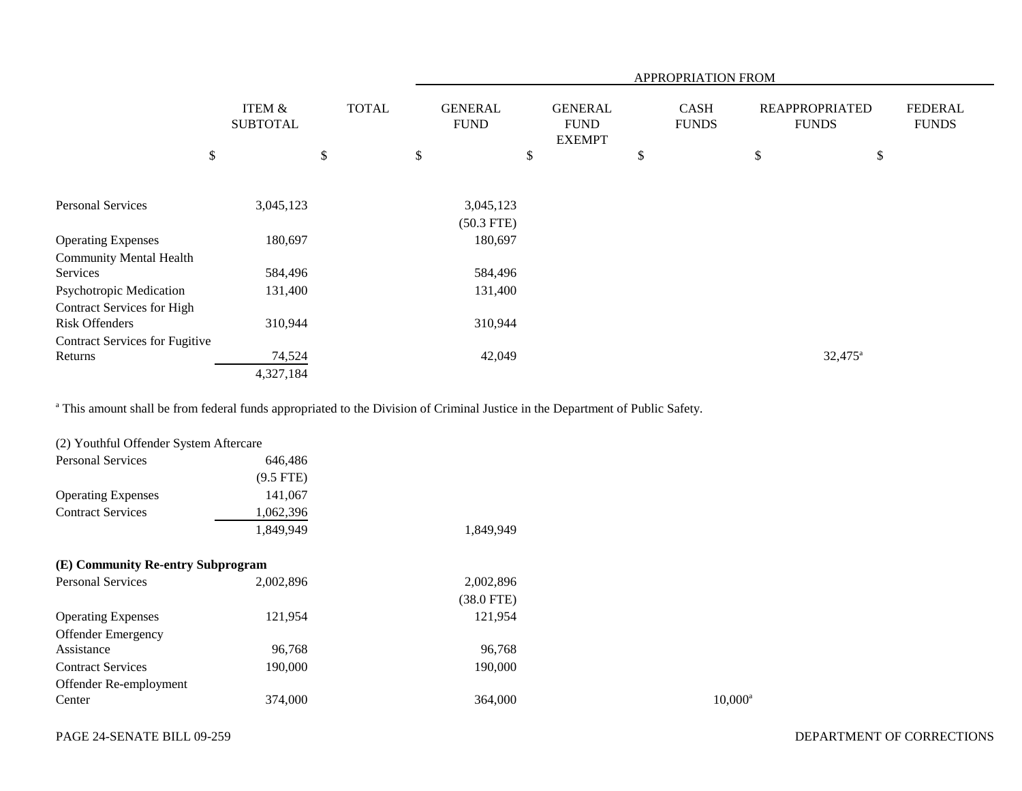|                                       |                                      |              | <b>APPROPRIATION FROM</b>     |                                                |                             |                                       |                                |  |
|---------------------------------------|--------------------------------------|--------------|-------------------------------|------------------------------------------------|-----------------------------|---------------------------------------|--------------------------------|--|
|                                       | <b>ITEM &amp;</b><br><b>SUBTOTAL</b> | <b>TOTAL</b> | <b>GENERAL</b><br><b>FUND</b> | <b>GENERAL</b><br><b>FUND</b><br><b>EXEMPT</b> | <b>CASH</b><br><b>FUNDS</b> | <b>REAPPROPRIATED</b><br><b>FUNDS</b> | <b>FEDERAL</b><br><b>FUNDS</b> |  |
|                                       | \$                                   | \$           | \$                            | \$                                             | \$                          | \$<br>$\boldsymbol{\mathsf{S}}$       |                                |  |
|                                       |                                      |              |                               |                                                |                             |                                       |                                |  |
| <b>Personal Services</b>              | 3,045,123                            |              | 3,045,123                     |                                                |                             |                                       |                                |  |
|                                       |                                      |              | $(50.3$ FTE)                  |                                                |                             |                                       |                                |  |
| <b>Operating Expenses</b>             | 180,697                              |              | 180,697                       |                                                |                             |                                       |                                |  |
| <b>Community Mental Health</b>        |                                      |              |                               |                                                |                             |                                       |                                |  |
| Services                              | 584,496                              |              | 584,496                       |                                                |                             |                                       |                                |  |
| Psychotropic Medication               | 131,400                              |              | 131,400                       |                                                |                             |                                       |                                |  |
| <b>Contract Services for High</b>     |                                      |              |                               |                                                |                             |                                       |                                |  |
| <b>Risk Offenders</b>                 | 310,944                              |              | 310,944                       |                                                |                             |                                       |                                |  |
| <b>Contract Services for Fugitive</b> |                                      |              |                               |                                                |                             |                                       |                                |  |
| Returns                               | 74,524                               |              | 42,049                        |                                                |                             | $32,475^{\circ}$                      |                                |  |
|                                       | 4,327,184                            |              |                               |                                                |                             |                                       |                                |  |

<sup>a</sup> This amount shall be from federal funds appropriated to the Division of Criminal Justice in the Department of Public Safety.

| (2) Youthful Offender System Aftercare |             |              |            |
|----------------------------------------|-------------|--------------|------------|
| <b>Personal Services</b>               | 646,486     |              |            |
|                                        | $(9.5$ FTE) |              |            |
| <b>Operating Expenses</b>              | 141,067     |              |            |
| <b>Contract Services</b>               | 1,062,396   |              |            |
|                                        | 1,849,949   | 1,849,949    |            |
| (E) Community Re-entry Subprogram      |             |              |            |
| <b>Personal Services</b>               | 2,002,896   | 2,002,896    |            |
|                                        |             | $(38.0$ FTE) |            |
| <b>Operating Expenses</b>              | 121,954     | 121,954      |            |
| <b>Offender Emergency</b>              |             |              |            |
| Assistance                             | 96,768      | 96,768       |            |
| <b>Contract Services</b>               | 190,000     | 190,000      |            |
| Offender Re-employment                 |             |              |            |
| Center                                 | 374,000     | 364,000      | $10,000^a$ |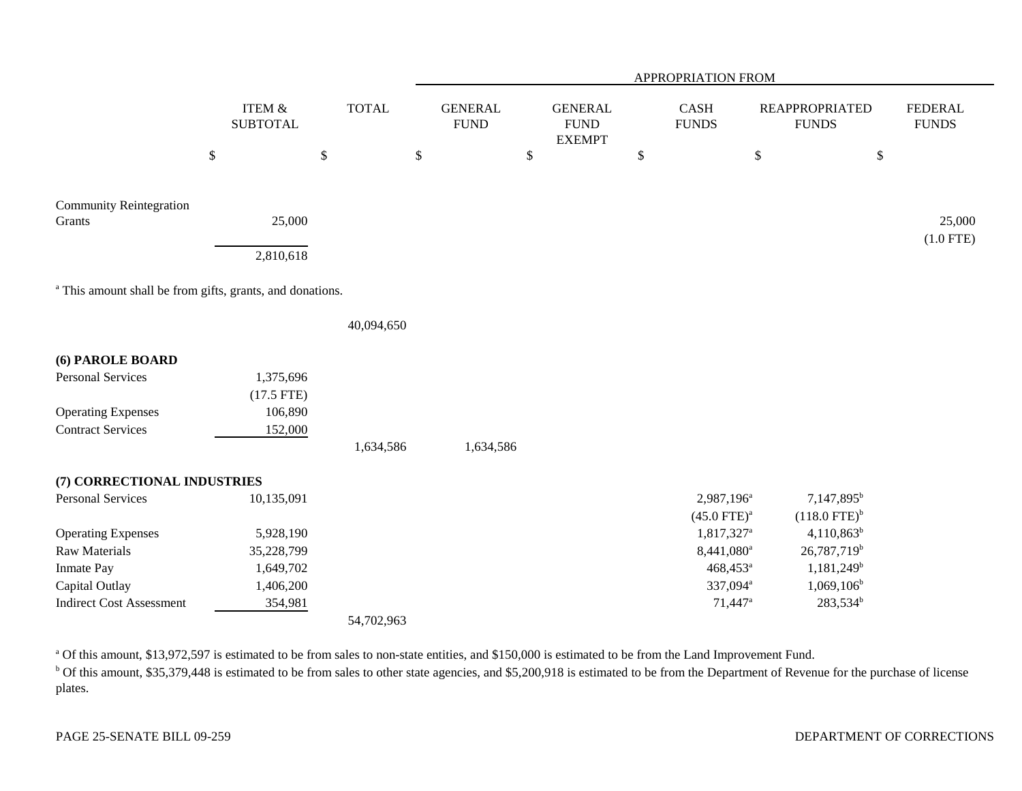|                                                                      |      |                                      |              |    | APPROPRIATION FROM            |    |                                                |    |                        |                                       |                            |                                |
|----------------------------------------------------------------------|------|--------------------------------------|--------------|----|-------------------------------|----|------------------------------------------------|----|------------------------|---------------------------------------|----------------------------|--------------------------------|
|                                                                      |      | <b>ITEM &amp;</b><br><b>SUBTOTAL</b> | <b>TOTAL</b> |    | <b>GENERAL</b><br><b>FUND</b> |    | <b>GENERAL</b><br><b>FUND</b><br><b>EXEMPT</b> |    | CASH<br><b>FUNDS</b>   | <b>REAPPROPRIATED</b><br><b>FUNDS</b> |                            | <b>FEDERAL</b><br><b>FUNDS</b> |
|                                                                      | $\$$ | \$                                   |              | \$ |                               | \$ |                                                | \$ |                        | $\$$                                  | \$                         |                                |
| <b>Community Reintegration</b>                                       |      |                                      |              |    |                               |    |                                                |    |                        |                                       |                            |                                |
| Grants                                                               |      | 25,000                               |              |    |                               |    |                                                |    |                        |                                       |                            | 25,000                         |
|                                                                      |      | 2,810,618                            |              |    |                               |    |                                                |    |                        |                                       |                            | $(1.0$ FTE)                    |
| <sup>a</sup> This amount shall be from gifts, grants, and donations. |      |                                      |              |    |                               |    |                                                |    |                        |                                       |                            |                                |
|                                                                      |      |                                      | 40,094,650   |    |                               |    |                                                |    |                        |                                       |                            |                                |
| (6) PAROLE BOARD                                                     |      |                                      |              |    |                               |    |                                                |    |                        |                                       |                            |                                |
| <b>Personal Services</b>                                             |      | 1,375,696                            |              |    |                               |    |                                                |    |                        |                                       |                            |                                |
|                                                                      |      | $(17.5$ FTE)                         |              |    |                               |    |                                                |    |                        |                                       |                            |                                |
| <b>Operating Expenses</b>                                            |      | 106,890                              |              |    |                               |    |                                                |    |                        |                                       |                            |                                |
| <b>Contract Services</b>                                             |      | 152,000                              |              |    |                               |    |                                                |    |                        |                                       |                            |                                |
|                                                                      |      |                                      | 1,634,586    |    | 1,634,586                     |    |                                                |    |                        |                                       |                            |                                |
| (7) CORRECTIONAL INDUSTRIES                                          |      |                                      |              |    |                               |    |                                                |    |                        |                                       |                            |                                |
| <b>Personal Services</b>                                             |      | 10,135,091                           |              |    |                               |    |                                                |    | 2,987,196 <sup>a</sup> |                                       | 7,147,895 <sup>b</sup>     |                                |
|                                                                      |      |                                      |              |    |                               |    |                                                |    | $(45.0$ FTE $)^a$      |                                       | $(118.0$ FTE) <sup>b</sup> |                                |
| <b>Operating Expenses</b>                                            |      | 5,928,190                            |              |    |                               |    |                                                |    | 1,817,327 <sup>a</sup> |                                       | $4,110,863^b$              |                                |
| <b>Raw Materials</b>                                                 |      | 35,228,799                           |              |    |                               |    |                                                |    | 8,441,080 <sup>a</sup> |                                       | 26,787,719 <sup>b</sup>    |                                |
| Inmate Pay                                                           |      | 1,649,702                            |              |    |                               |    |                                                |    | 468,453 <sup>a</sup>   |                                       | 1,181,249 <sup>b</sup>     |                                |
| Capital Outlay                                                       |      | 1,406,200                            |              |    |                               |    |                                                |    | 337,094 <sup>a</sup>   |                                       | $1,069,106^b$              |                                |
| <b>Indirect Cost Assessment</b>                                      |      | 354,981                              |              |    |                               |    |                                                |    | 71,447 <sup>a</sup>    |                                       | 283,534 <sup>b</sup>       |                                |
|                                                                      |      |                                      | 54,702,963   |    |                               |    |                                                |    |                        |                                       |                            |                                |

<sup>a</sup> Of this amount, \$13,972,597 is estimated to be from sales to non-state entities, and \$150,000 is estimated to be from the Land Improvement Fund.

<sup>b</sup> Of this amount, \$35,379,448 is estimated to be from sales to other state agencies, and \$5,200,918 is estimated to be from the Department of Revenue for the purchase of license plates.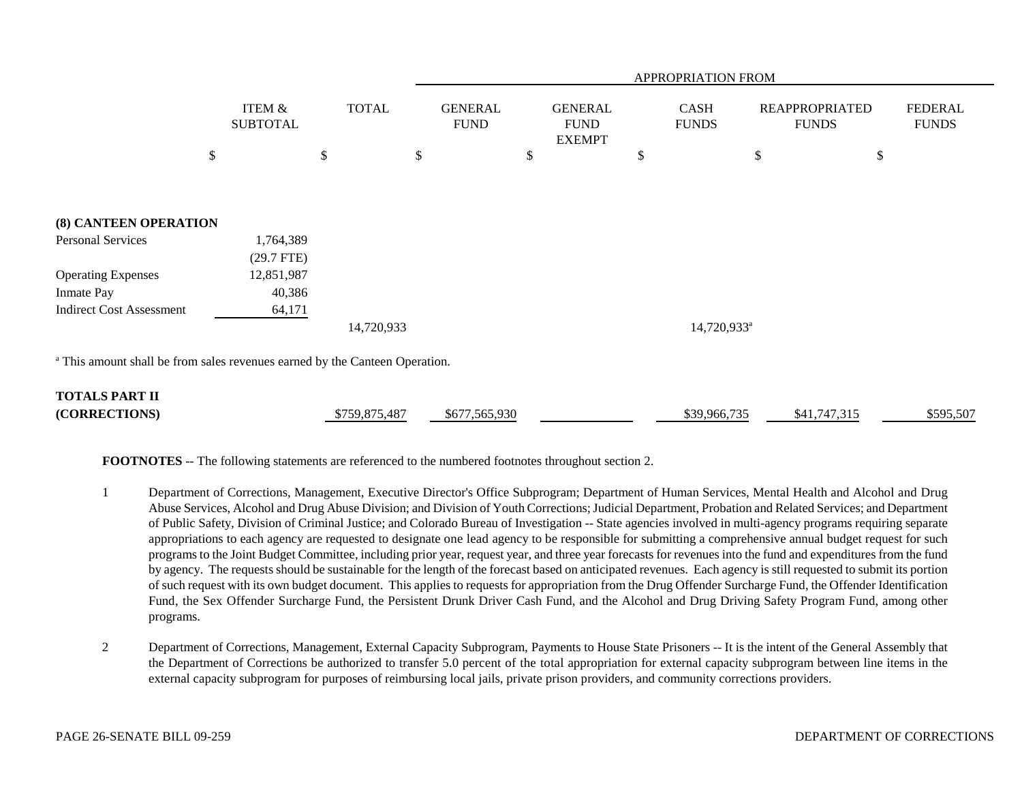|                                                                                        |                                      |               | APPROPRIATION FROM            |                                                |    |                             |                                       |                                |  |
|----------------------------------------------------------------------------------------|--------------------------------------|---------------|-------------------------------|------------------------------------------------|----|-----------------------------|---------------------------------------|--------------------------------|--|
|                                                                                        | <b>ITEM &amp;</b><br><b>SUBTOTAL</b> | <b>TOTAL</b>  | <b>GENERAL</b><br><b>FUND</b> | <b>GENERAL</b><br><b>FUND</b><br><b>EXEMPT</b> |    | <b>CASH</b><br><b>FUNDS</b> | <b>REAPPROPRIATED</b><br><b>FUNDS</b> | <b>FEDERAL</b><br><b>FUNDS</b> |  |
|                                                                                        | \$                                   | \$<br>\$      |                               | \$                                             | \$ |                             | $\$$                                  | \$                             |  |
|                                                                                        |                                      |               |                               |                                                |    |                             |                                       |                                |  |
|                                                                                        |                                      |               |                               |                                                |    |                             |                                       |                                |  |
| (8) CANTEEN OPERATION                                                                  |                                      |               |                               |                                                |    |                             |                                       |                                |  |
| Personal Services                                                                      | 1,764,389                            |               |                               |                                                |    |                             |                                       |                                |  |
|                                                                                        | (29.7 FTE)                           |               |                               |                                                |    |                             |                                       |                                |  |
| <b>Operating Expenses</b>                                                              | 12,851,987                           |               |                               |                                                |    |                             |                                       |                                |  |
| <b>Inmate Pay</b>                                                                      | 40,386                               |               |                               |                                                |    |                             |                                       |                                |  |
| <b>Indirect Cost Assessment</b>                                                        | 64,171                               |               |                               |                                                |    |                             |                                       |                                |  |
|                                                                                        |                                      | 14,720,933    |                               |                                                |    | 14,720,933 <sup>a</sup>     |                                       |                                |  |
| <sup>a</sup> This amount shall be from sales revenues earned by the Canteen Operation. |                                      |               |                               |                                                |    |                             |                                       |                                |  |
| <b>TOTALS PART II</b>                                                                  |                                      |               |                               |                                                |    |                             |                                       |                                |  |
| (CORRECTIONS)                                                                          |                                      | \$759,875,487 | \$677,565,930                 |                                                |    | \$39,966,735                | \$41,747,315                          | \$595,507                      |  |

**FOOTNOTES** -- The following statements are referenced to the numbered footnotes throughout section 2.

- 1 Department of Corrections, Management, Executive Director's Office Subprogram; Department of Human Services, Mental Health and Alcohol and Drug Abuse Services, Alcohol and Drug Abuse Division; and Division of Youth Corrections; Judicial Department, Probation and Related Services; and Department of Public Safety, Division of Criminal Justice; and Colorado Bureau of Investigation -- State agencies involved in multi-agency programs requiring separate appropriations to each agency are requested to designate one lead agency to be responsible for submitting a comprehensive annual budget request for such programs to the Joint Budget Committee, including prior year, request year, and three year forecasts for revenues into the fund and expenditures from the fund by agency. The requests should be sustainable for the length of the forecast based on anticipated revenues. Each agency is still requested to submit its portion of such request with its own budget document. This applies to requests for appropriation from the Drug Offender Surcharge Fund, the Offender Identification Fund, the Sex Offender Surcharge Fund, the Persistent Drunk Driver Cash Fund, and the Alcohol and Drug Driving Safety Program Fund, among other programs.
- 2 Department of Corrections, Management, External Capacity Subprogram, Payments to House State Prisoners -- It is the intent of the General Assembly that the Department of Corrections be authorized to transfer 5.0 percent of the total appropriation for external capacity subprogram between line items in the external capacity subprogram for purposes of reimbursing local jails, private prison providers, and community corrections providers.